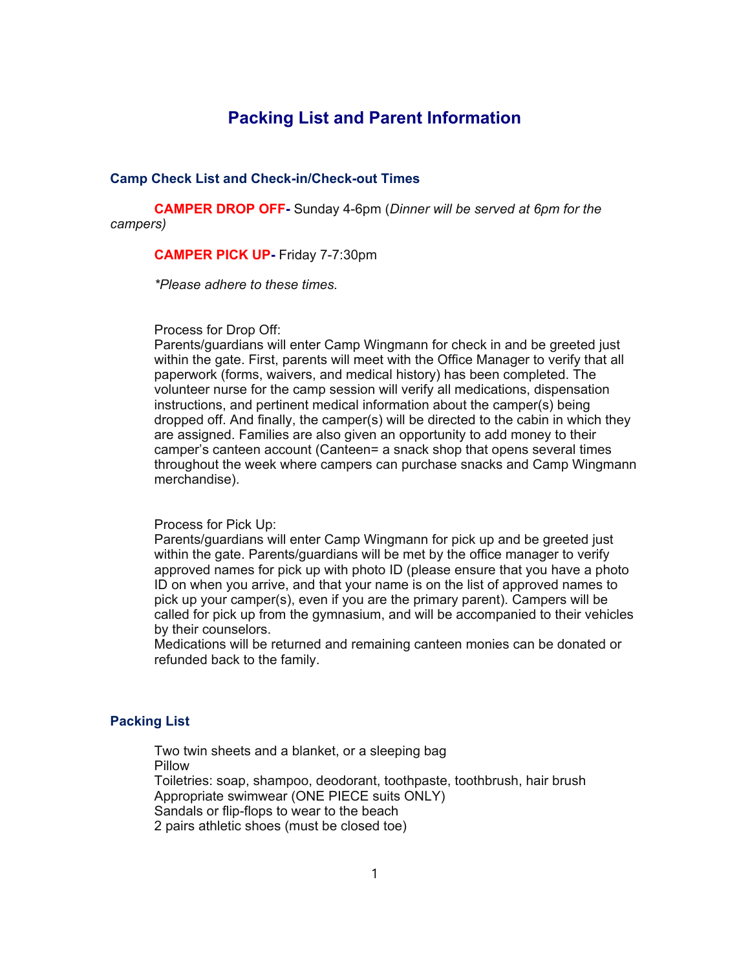# **Packing List and Parent Information**

#### **Camp Check List and Check-in/Check-out Times**

**CAMPER DROP OFF-** Sunday 4-6pm (*Dinner will be served at 6pm for the campers)*

# **CAMPER PICK UP-** Friday 7-7:30pm

*\*Please adhere to these times.* 

#### Process for Drop Off:

Parents/guardians will enter Camp Wingmann for check in and be greeted just within the gate. First, parents will meet with the Office Manager to verify that all paperwork (forms, waivers, and medical history) has been completed. The volunteer nurse for the camp session will verify all medications, dispensation instructions, and pertinent medical information about the camper(s) being dropped off. And finally, the camper(s) will be directed to the cabin in which they are assigned. Families are also given an opportunity to add money to their camper's canteen account (Canteen= a snack shop that opens several times throughout the week where campers can purchase snacks and Camp Wingmann merchandise).

### Process for Pick Up:

Parents/guardians will enter Camp Wingmann for pick up and be greeted just within the gate. Parents/guardians will be met by the office manager to verify approved names for pick up with photo ID (please ensure that you have a photo ID on when you arrive, and that your name is on the list of approved names to pick up your camper(s), even if you are the primary parent). Campers will be called for pick up from the gymnasium, and will be accompanied to their vehicles by their counselors.

Medications will be returned and remaining canteen monies can be donated or refunded back to the family.

# **Packing List**

Two twin sheets and a blanket, or a sleeping bag Pillow Toiletries: soap, shampoo, deodorant, toothpaste, toothbrush, hair brush Appropriate swimwear (ONE PIECE suits ONLY) Sandals or flip-flops to wear to the beach 2 pairs athletic shoes (must be closed toe)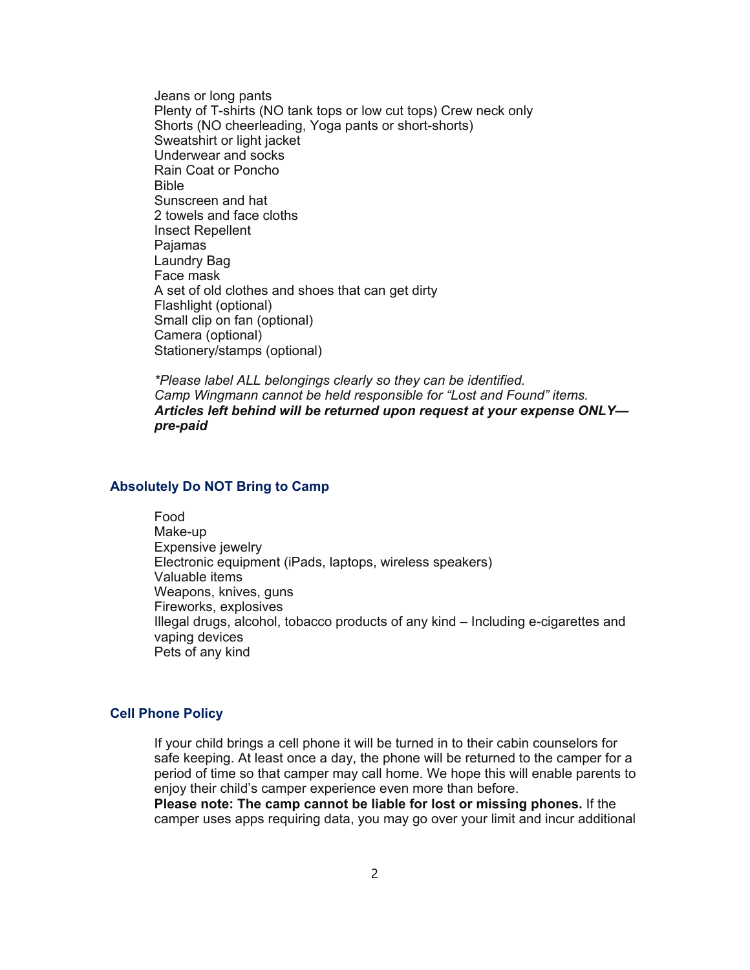Jeans or long pants Plenty of T-shirts (NO tank tops or low cut tops) Crew neck only Shorts (NO cheerleading, Yoga pants or short-shorts) Sweatshirt or light jacket Underwear and socks Rain Coat or Poncho Bible Sunscreen and hat 2 towels and face cloths Insect Repellent Pajamas Laundry Bag Face mask A set of old clothes and shoes that can get dirty Flashlight (optional) Small clip on fan (optional) Camera (optional) Stationery/stamps (optional)

*\*Please label ALL belongings clearly so they can be identified. Camp Wingmann cannot be held responsible for "Lost and Found" items. Articles left behind will be returned upon request at your expense ONLY pre-paid*

# **Absolutely Do NOT Bring to Camp**

Food Make-up Expensive jewelry Electronic equipment (iPads, laptops, wireless speakers) Valuable items Weapons, knives, guns Fireworks, explosives Illegal drugs, alcohol, tobacco products of any kind – Including e-cigarettes and vaping devices Pets of any kind

### **Cell Phone Policy**

If your child brings a cell phone it will be turned in to their cabin counselors for safe keeping. At least once a day, the phone will be returned to the camper for a period of time so that camper may call home. We hope this will enable parents to enjoy their child's camper experience even more than before.

**Please note: The camp cannot be liable for lost or missing phones.** If the camper uses apps requiring data, you may go over your limit and incur additional